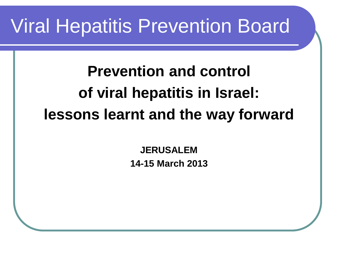### Viral Hepatitis Prevention Board

**Prevention and control of viral hepatitis in Israel: lessons learnt and the way forward**

> **JERUSALEM 14-15 March 2013**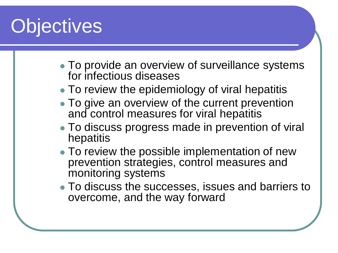## **Objectives**

- To provide an overview of surveillance systems for infectious diseases
- To review the epidemiology of viral hepatitis
- To give an overview of the current prevention and control measures for viral hepatitis
- To discuss progress made in prevention of viral hepatitis
- To review the possible implementation of new prevention strategies, control measures and monitoring systems
- To discuss the successes, issues and barriers to overcome, and the way forward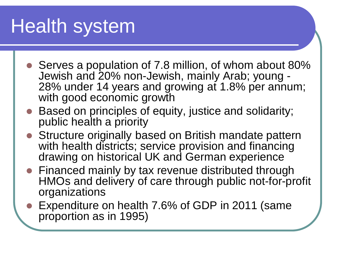## Health system

- Serves a population of 7.8 million, of whom about 80%<br>Jewish and 20% non-Jewish, mainly Arab; young -28% under 14 years and growing at 1.8% per annum; with good economic growth
- Based on principles of equity, justice and solidarity; public health a priority
- Structure originally based on British mandate pattern with health districts; service provision and financing drawing on historical UK and German experience
- Financed mainly by tax revenue distributed through HMOs and delivery of care through public not-for-profit organizations
- Expenditure on health 7.6% of GDP in 2011 (same proportion as in 1995)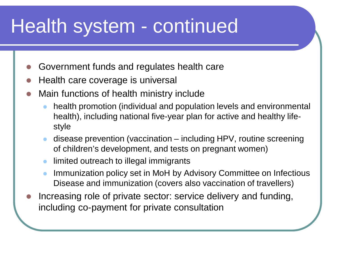- Government funds and regulates health care
- Health care coverage is universal
- Main functions of health ministry include
	- health promotion (individual and population levels and environmental health), including national five-year plan for active and healthy lifestyle
	- disease prevention (vaccination including HPV, routine screening of children's development, and tests on pregnant women)
	- limited outreach to illegal immigrants
	- Immunization policy set in MoH by Advisory Committee on Infectious Disease and immunization (covers also vaccination of travellers)
- Increasing role of private sector: service delivery and funding, including co-payment for private consultation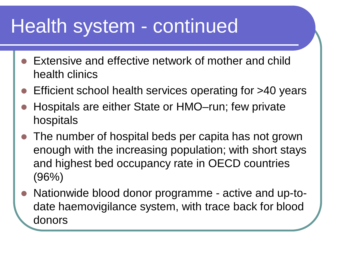- Extensive and effective network of mother and child health clinics
- Efficient school health services operating for >40 years
- Hospitals are either State or HMO–run; few private hospitals
- The number of hospital beds per capita has not grown enough with the increasing population; with short stays and highest bed occupancy rate in OECD countries (96%)
- Nationwide blood donor programme active and up-todate haemovigilance system, with trace back for blood donors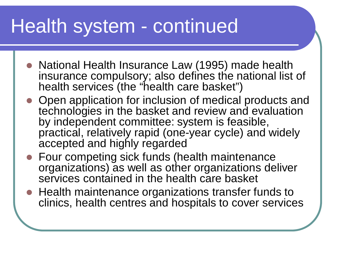- National Health Insurance Law (1995) made health insurance compulsory; also defines the national list of health services (the "health care basket")
- Open application for inclusion of medical products and technologies in the basket and review and evaluation by independent committee: system is feasible, practical, relatively rapid (one-year cycle) and widely accepted and highly regarded
- Four competing sick funds (health maintenance organizations) as well as other organizations deliver services contained in the health care basket
- Health maintenance organizations transfer funds to clinics, health centres and hospitals to cover services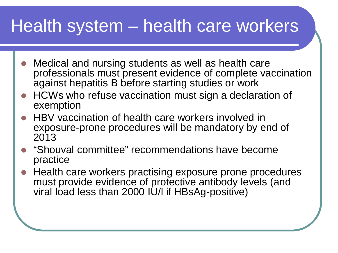#### Health system – health care workers

- Medical and nursing students as well as health care professionals must present evidence of complete vaccination against hepatitis B before starting studies or work
- HCWs who refuse vaccination must sign a declaration of exemption
- HBV vaccination of health care workers involved in exposure-prone procedures will be mandatory by end of 2013
- "Shouval committee" recommendations have become practice
- Health care workers practising exposure prone procedures must provide evidence of protective antibody levels (and viral load less than 2000 IU/l if HBsAg-positive)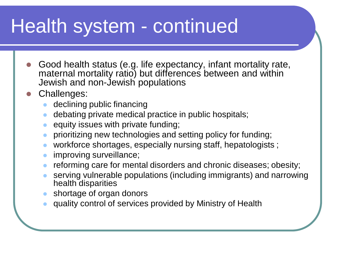- Good health status (e.g. life expectancy, infant mortality rate, maternal mortality ratio) but differences between and within Jewish and non-Jewish populations
- Challenges:
	- declining public financing
	- debating private medical practice in public hospitals;
	- equity issues with private funding;
	- prioritizing new technologies and setting policy for funding;
	- workforce shortages, especially nursing staff, hepatologists ;
	- improving surveillance;
	- reforming care for mental disorders and chronic diseases; obesity;
	- serving vulnerable populations (including immigrants) and narrowing health disparities
	- shortage of organ donors
	- quality control of services provided by Ministry of Health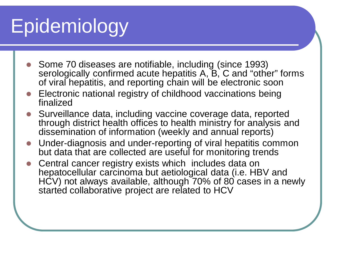# Epidemiology

- Some 70 diseases are notifiable, including (since 1993) serologically confirmed acute hepatitis A, B, C and "other" forms of viral hepatitis, and reporting chain will be electronic soon
- Electronic national registry of childhood vaccinations being finalized
- Surveillance data, including vaccine coverage data, reported through district health offices to health ministry for analysis and dissemination of information (weekly and annual reports)
- Under-diagnosis and under-reporting of viral hepatitis common but data that are collected are useful for monitoring trends
- Central cancer registry exists which includes data on hepatocellular carcinoma but aetiological data (i.e. HBV and HCV) not always available, although 70% of 80 cases in a newly started collaborative project are related to HCV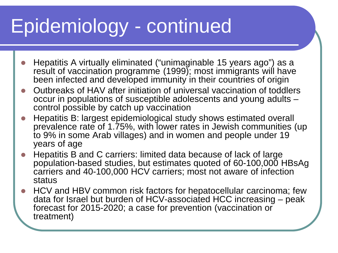## Epidemiology - continued

- Hepatitis A virtually eliminated ("unimaginable 15 years ago") as a result of vaccination programme (1999); most immigrants will have been infected and developed immunity in their countries of origin
- Outbreaks of HAV after initiation of universal vaccination of toddlers occur in populations of susceptible adolescents and young adults – control possible by catch up vaccination
- Hepatitis B: largest epidemiological study shows estimated overall prevalence rate of 1.75%, with lower rates in Jewish communities (up to 9% in some Arab villages) and in women and people under 19 years of age
- Hepatitis B and C carriers: limited data because of lack of large population-based studies, but estimates quoted of 60-100,000 HBsAg carriers and 40-100,000 HCV carriers; most not aware of infection status
- HCV and HBV common risk factors for hepatocellular carcinoma; few data for Israel but burden of HCV-associated HCC increasing – peak forecast for 2015-2020; a case for prevention (vaccination or treatment)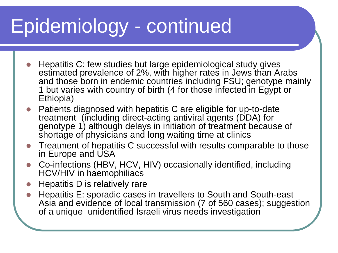## Epidemiology - continued

- Hepatitis C: few studies but large epidemiological study gives estimated prevalence of 2%, with higher rates in Jews than Arabs and those born in endemic countries including FSU; genotype mainly 1 but varies with country of birth (4 for those infected in Egypt or Ethiopia)
- Patients diagnosed with hepatitis C are eligible for up-to-date treatment (including direct-acting antiviral agents (DDA) for genotype 1) although delays in initiation of treatment because of shortage of physicians and long waiting time at clinics
- Treatment of hepatitis C successful with results comparable to those in Europe and USA
- Co-infections (HBV, HCV, HIV) occasionally identified, including HCV/HIV in haemophiliacs
- Hepatitis D is relatively rare
- Hepatitis E: sporadic cases in travellers to South and South-east Asia and evidence of local transmission (7 of 560 cases); suggestion of a unique unidentified Israeli virus needs investigation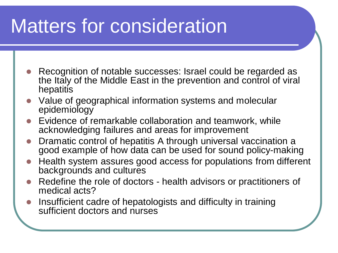## Matters for consideration

- Recognition of notable successes: Israel could be regarded as the Italy of the Middle East in the prevention and control of viral hepatitis
- Value of geographical information systems and molecular epidemiology
- Evidence of remarkable collaboration and teamwork, while acknowledging failures and areas for improvement
- Dramatic control of hepatitis A through universal vaccination a good example of how data can be used for sound policy-making
- Health system assures good access for populations from different backgrounds and cultures
- Redefine the role of doctors health advisors or practitioners of medical acts?
- Insufficient cadre of hepatologists and difficulty in training sufficient doctors and nurses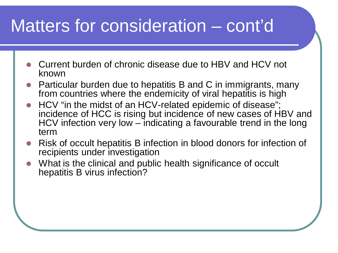#### Matters for consideration – cont'd

- Current burden of chronic disease due to HBV and HCV not known
- Particular burden due to hepatitis B and C in immigrants, many from countries where the endemicity of viral hepatitis is high
- HCV "in the midst of an HCV-related epidemic of disease"; incidence of HCC is rising but incidence of new cases of HBV and HCV infection very low – indicating a favourable trend in the long term
- Risk of occult hepatitis B infection in blood donors for infection of recipients under investigation
- What is the clinical and public health significance of occult hepatitis B virus infection?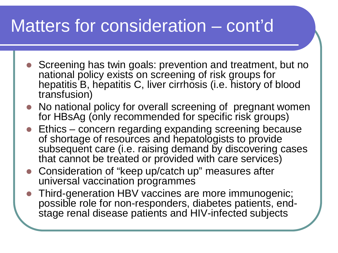### Matters for consideration – cont'd

- Screening has twin goals: prevention and treatment, but no national policy exists on screening of risk groups for hepatitis B, hepatitis C, liver cirrhosis (i.e. history of blood transfusion)
- No national policy for overall screening of pregnant women for HBsAg (only recommended for specific risk groups)
- Ethics concern regarding expanding screening because of shortage of resources and hepatologists to provide subsequent care (i.e. raising demand by discovering cases that cannot be treated or provided with care services)
- Consideration of "keep up/catch up" measures after universal vaccination programmes
- Third-generation HBV vaccines are more immunogenic; stage renal disease patients and HIV-infected subjects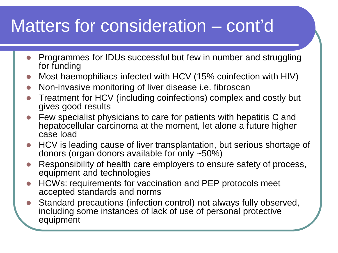### Matters for consideration – cont'd

- Programmes for IDUs successful but few in number and struggling for funding
- Most haemophiliacs infected with HCV (15% coinfection with HIV)
- Non-invasive monitoring of liver disease i.e. fibroscan
- Treatment for HCV (including coinfections) complex and costly but gives good results
- Few specialist physicians to care for patients with hepatitis C and hepatocellular carcinoma at the moment, let alone a future higher case load
- HCV is leading cause of liver transplantation, but serious shortage of donors (organ donors available for only ~50%)
- Responsibility of health care employers to ensure safety of process, equipment and technologies
- HCWs: requirements for vaccination and PEP protocols meet accepted standards and norms
- Standard precautions (infection control) not always fully observed, including some instances of lack of use of personal protective equipment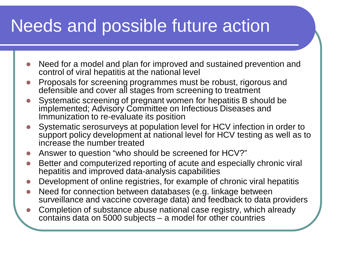### Needs and possible future action

- Need for a model and plan for improved and sustained prevention and control of viral hepatitis at the national level
- Proposals for screening programmes must be robust, rigorous and defensible and cover all stages from screening to treatment
- Systematic screening of pregnant women for hepatitis B should be implemented; Advisory Committee on Infectious Diseases and Immunization to re-evaluate its position
- Systematic serosurveys at population level for HCV infection in order to support policy development at national level for HCV testing as well as to increase the number treated
- Answer to question "who should be screened for HCV?"
- Better and computerized reporting of acute and especially chronic viral hepatitis and improved data-analysis capabilities
- Development of online registries, for example of chronic viral hepatitis
- Need for connection between databases (e.g. linkage between surveillance and vaccine coverage data) and feedback to data providers
- Completion of substance abuse national case registry, which already contains data on 5000 subjects – a model for other countries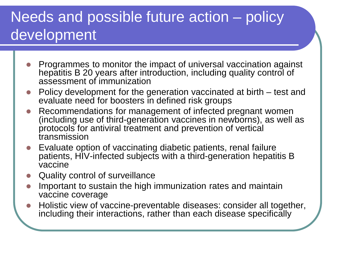#### Needs and possible future action – policy development

- Programmes to monitor the impact of universal vaccination against hepatitis B 20 years after introduction, including quality control of assessment of immunization
- Policy development for the generation vaccinated at birth test and evaluate need for boosters in defined risk groups
- Recommendations for management of infected pregnant women (including use of third-generation vaccines in newborns), as well as protocols for antiviral treatment and prevention of vertical transmission
- Evaluate option of vaccinating diabetic patients, renal failure patients, HIV-infected subjects with a third-generation hepatitis B vaccine
- Quality control of surveillance
- Important to sustain the high immunization rates and maintain vaccine coverage
- Holistic view of vaccine-preventable diseases: consider all together, including their interactions, rather than each disease specifically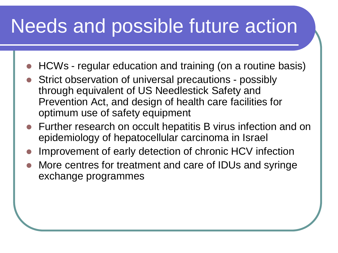### Needs and possible future action

- HCWs regular education and training (on a routine basis)
- Strict observation of universal precautions possibly through equivalent of US Needlestick Safety and Prevention Act, and design of health care facilities for optimum use of safety equipment
- Further research on occult hepatitis B virus infection and on epidemiology of hepatocellular carcinoma in Israel
- Improvement of early detection of chronic HCV infection
- More centres for treatment and care of IDUs and syringe exchange programmes